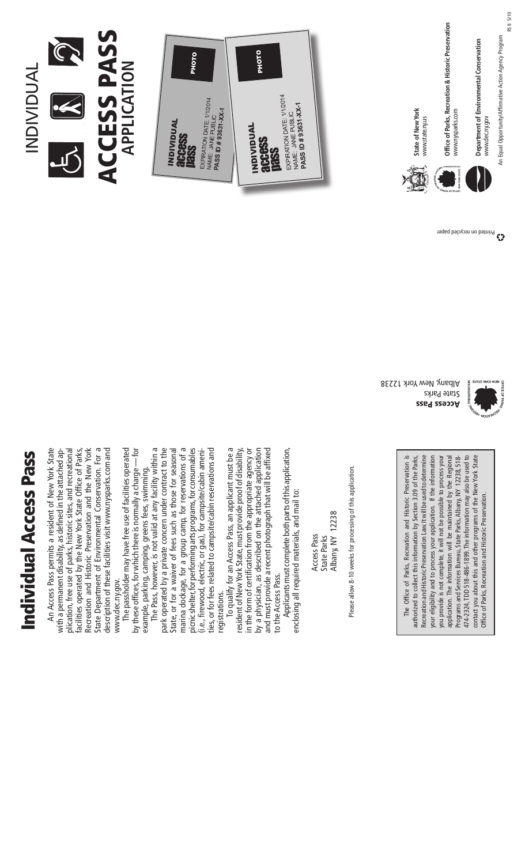# **Individual Access Pass** Individual Access Pass

An Access Pass permits a resident of New York State plication, free use of parks, historic sites, and recreational facilities operated by the New York State Office of Parks, Recreation and Historic Preservation and the New York State Department of Environmental Conservation. For a State Department of Environmental Conservation. For a description of these facilities visit www.nysparks.com and description of these facilities visit www.nysparks.com and An Access Pass permits a resident of New York State with a permanent disability, as defined in the attached application, free use of parks, historic sites, and recreational facilities operated by the New York State Office of Parks, Recreation and Historic Preservation and the New York with a permanent disability, as defined in the attached apwww.dec.ny.gov. www.dec.ny.gov.

The passholder may have free use of facilities operated by these offices, for which there is normally a charge — for The passholder may have free use of facilities operated by these offices, for which there is normally a charge — for example, parking, camping, greens fees, swimming. example, parking, camping, greens fees, swimming.

The Pass, however, is not valid at any facility within a park operated by a private concern under contract to the State, or for a waiver of fees such as those for seasonal marina dockage, for a group camp, for reservations of a marina dockage, for a group camp, for reservations of a picnic shelter, for performing arts programs, for consumables ties, or for fees related to campsite/cabin reservations and The Pass, however, is not valid at any facility within a park operated by a private concern under contract to the State, or for a waiver of fees such as those for seasonal picnic shelter, for performing arts programs, for consumables (i.e., firewood, electric, or gas), for campsite/cabin ameni-(i.e., firewood, electric, or gas), for campsite/cabin amenities, or for fees related to campsite/cabin reservations and registrations. registrations.

To qualify for an Access Pass, an applicant must be a To qualify for an Access Pass, an applicant must be a resident of New York State, must provide proof of disability, in the form of certification from the appropriate agency or by a physician, as described on the attached application and must provide a recent photograph that will be affixed by a physician, as described on the attached application resident of New York State, must provide proof of disability, in the form of certification from the appropriate agency or and must provide a recent photograph that will be affixed to the Access Pass. to the Access Pass.

Applicants must complete both parts of this application, Applicants must complete both parts of this application, enclosing all required materials, and mail to: enclosing all required materials, and mail to:

Albany, NY 12238 Albany, NY 12238 Access Pass State Parks Access Pass State Parks

Please allow 8-10 weeks for processing of this application. Please allow 8-10 weeks for processing of this application. The Office of Parks, Recreation and Historic Preservation is The Office of Parks, Recreation and Historic Preservation is authorized to collect this information by Section 3.09 of the Parks, Recreation and Historic Preservation Law. It will be used to determine Recreation and Historic Preservation Law. It will be used to determine your eligibility and to process your application. If the information you provide is not complete, it will not be possible to process your you provide is not complete, it will not be possible to process your application. The information will be maintained by the Regional application. The information will be maintained by the Regional Programs and Services Bureau, State Parks, Albany, NY 12238, 518-474-2324, TDD 518-486-1899. The information may also be used to 474-2324, TDD 518-486-1899. The information may also be used to contact you about this and other programs of the New York State contact you about this and other programs of the New York State authorized to collect this information by Section 3.09 of the Parks, your eligibility and to process your application. If the information Programs and Services Bureau, State Parks, Albany, NY 12238, 518- Office of Parks, Recreation and Historic Preservation. Office of Parks, Recreation and Historic Preservation.

Access Pass State Parks Albany, New York 12238



## Access Pass ACCESS PASS **ation Applic**

Individual

**INDIVIDUAL** 

R





State of New York **State of New York** www.state.ny.us www.state.ny.us Office of Parks, Recreation & Historic Preservation **Office of Parks, Recreation & Historic Preservation** www.nysparks.com www.nysparks.com

An Equal Opportunity/Affirmative Action Agency Program Department of Environmental Conservation **Department of Environmental Conservation** www.dec.ny.gov www.dec.ny.gov

Printed on recycled paper

An Equal Opportunity/Affirmative Action Agency Program